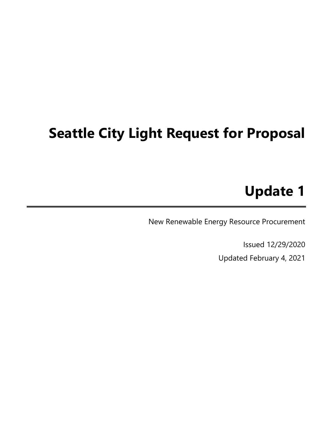# Seattle City Light Request for Proposal

## Update 1

New Renewable Energy Resource Procurement

Issued 12/29/2020 Updated February 4, 2021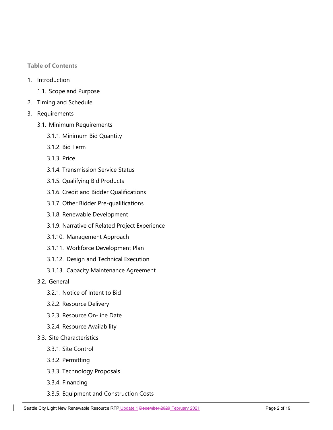Table of Contents

- 1. Introduction
	- 1.1. Scope and Purpose
- 2. Timing and Schedule
- 3. Requirements
	- 3.1. Minimum Requirements
		- 3.1.1. Minimum Bid Quantity
		- 3.1.2. Bid Term
		- 3.1.3. Price
		- 3.1.4. Transmission Service Status
		- 3.1.5. Qualifying Bid Products
		- 3.1.6. Credit and Bidder Qualifications
		- 3.1.7. Other Bidder Pre-qualifications
		- 3.1.8. Renewable Development
		- 3.1.9. Narrative of Related Project Experience
		- 3.1.10. Management Approach
		- 3.1.11. Workforce Development Plan
		- 3.1.12. Design and Technical Execution
		- 3.1.13. Capacity Maintenance Agreement
	- 3.2. General
		- 3.2.1. Notice of Intent to Bid
		- 3.2.2. Resource Delivery
		- 3.2.3. Resource On-line Date
		- 3.2.4. Resource Availability
	- 3.3. Site Characteristics
		- 3.3.1. Site Control
		- 3.3.2. Permitting
		- 3.3.3. Technology Proposals
		- 3.3.4. Financing
		- 3.3.5. Equipment and Construction Costs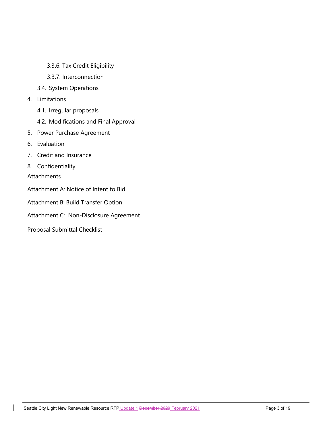- 3.3.6. Tax Credit Eligibility
- 3.3.7. Interconnection
- 3.4. System Operations
- 4. Limitations
	- 4.1. Irregular proposals
	- 4.2. Modifications and Final Approval
- 5. Power Purchase Agreement
- 6. Evaluation
- 7. Credit and Insurance
- 8. Confidentiality

Attachments

- Attachment A: Notice of Intent to Bid
- Attachment B: Build Transfer Option
- Attachment C: Non-Disclosure Agreement
- Proposal Submittal Checklist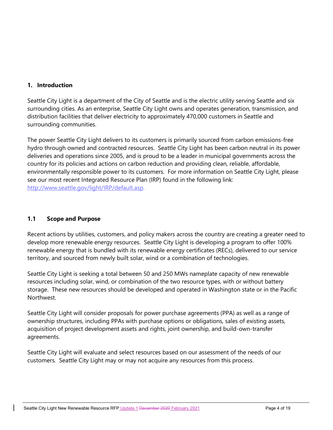## 1. Introduction

Seattle City Light is a department of the City of Seattle and is the electric utility serving Seattle and six surrounding cities. As an enterprise, Seattle City Light owns and operates generation, transmission, and distribution facilities that deliver electricity to approximately 470,000 customers in Seattle and surrounding communities.

The power Seattle City Light delivers to its customers is primarily sourced from carbon emissions-free hydro through owned and contracted resources. Seattle City Light has been carbon neutral in its power deliveries and operations since 2005, and is proud to be a leader in municipal governments across the country for its policies and actions on carbon reduction and providing clean, reliable, affordable, environmentally responsible power to its customers. For more information on Seattle City Light, please see our most recent Integrated Resource Plan (IRP) found in the following link: http://www.seattle.gov/light/IRP/default.asp.

## 1.1 Scope and Purpose

Recent actions by utilities, customers, and policy makers across the country are creating a greater need to develop more renewable energy resources. Seattle City Light is developing a program to offer 100% renewable energy that is bundled with its renewable energy certificates (RECs), delivered to our service territory, and sourced from newly built solar, wind or a combination of technologies.

Seattle City Light is seeking a total between 50 and 250 MWs nameplate capacity of new renewable resources including solar, wind, or combination of the two resource types, with or without battery storage. These new resources should be developed and operated in Washington state or in the Pacific Northwest.

Seattle City Light will consider proposals for power purchase agreements (PPA) as well as a range of ownership structures, including PPAs with purchase options or obligations, sales of existing assets, acquisition of project development assets and rights, joint ownership, and build-own-transfer agreements.

Seattle City Light will evaluate and select resources based on our assessment of the needs of our customers. Seattle City Light may or may not acquire any resources from this process.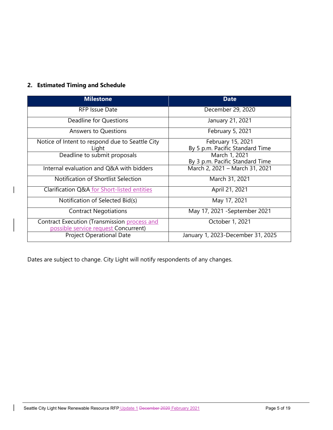## 2. Estimated Timing and Schedule

| <b>Milestone</b>                                                                     | <b>Date</b>                                          |  |
|--------------------------------------------------------------------------------------|------------------------------------------------------|--|
| RFP Issue Date                                                                       | December 29, 2020                                    |  |
| Deadline for Questions                                                               | January 21, 2021                                     |  |
| <b>Answers to Questions</b>                                                          | February 5, 2021                                     |  |
| Notice of Intent to respond due to Seattle City<br>Light                             | February 15, 2021<br>By 5 p.m. Pacific Standard Time |  |
| Deadline to submit proposals                                                         | March 1, 2021<br>By 3 p.m. Pacific Standard Time     |  |
| Internal evaluation and Q&A with bidders                                             | March 2, 2021 - March 31, 2021                       |  |
| Notification of Shortlist Selection                                                  | March 31, 2021                                       |  |
| Clarification Q&A for Short-listed entities                                          | April 21, 2021                                       |  |
| Notification of Selected Bid(s)                                                      | May 17, 2021                                         |  |
| <b>Contract Negotiations</b>                                                         | May 17, 2021 - September 2021                        |  |
| Contract Execution (Transmission process and<br>possible service request Concurrent) | October 1, 2021                                      |  |
| <b>Project Operational Date</b>                                                      | January 1, 2023-December 31, 2025                    |  |

Dates are subject to change. City Light will notify respondents of any changes.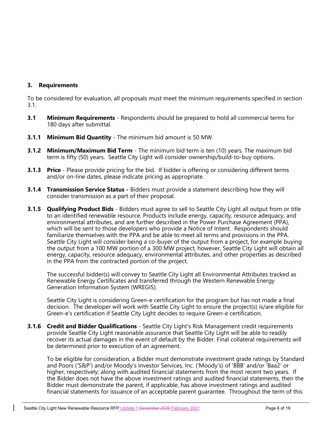## 3. Requirements

To be considered for evaluation, all proposals must meet the minimum requirements specified in section 3.1.

- **3.1** Minimum Requirements Respondents should be prepared to hold all commercial terms for 180 days after submittal.
- **3.1.1 Minimum Bid Quantity** The minimum bid amount is 50 MW.
- **3.1.2 Minimum/Maximum Bid Term** The minimum bid term is ten (10) years. The maximum bid term is fifty (50) years. Seattle City Light will consider ownership/build-to-buy options.
- **3.1.3 Price** Please provide pricing for the bid. If bidder is offering or considering different terms and/or on-line dates, please indicate pricing as appropriate.
- **3.1.4 Transmission Service Status** Bidders must provide a statement describing how they will consider transmission as a part of their proposal.
- **3.1.5 Qualifying Product Bids** Bidders must agree to sell to Seattle City Light all output from or title to an identified renewable resource. Products include energy, capacity, resource adequacy, and environmental attributes, and are further described in the Power Purchase Agreement (PPA), which will be sent to those developers who provide a Notice of Intent. Respondents should familiarize themselves with the PPA and be able to meet all terms and provisions in the PPA. Seattle City Light will consider being a co-buyer of the output from a project, for example buying the output from a 100 MW portion of a 300 MW project, however, Seattle City Light will obtain all energy, capacity, resource adequacy, environmental attributes, and other properties as described in the PPA from the contracted portion of the project.

The successful bidder(s) will convey to Seattle City Light all Environmental Attributes tracked as Renewable Energy Certificates and transferred through the Western Renewable Energy Generation Information System (WREGIS).

Seattle City Light is considering Green-e certification for the program but has not made a final decision. The developer will work with Seattle City Light to ensure the project(s) is/are eligible for Green-e's certification if Seattle City Light decides to require Green-e certification.

**3.1.6 Credit and Bidder Qualifications** - Seattle City Light's Risk Management credit requirements provide Seattle City Light reasonable assurance that Seattle City Light will be able to readily recover its actual damages in the event of default by the Bidder. Final collateral requirements will be determined prior to execution of an agreement.

To be eligible for consideration, a Bidder must demonstrate investment grade ratings by Standard and Poors ('S&P') and/or Moody's Investor Services, Inc. ('Moody's) of 'BBB' and/or 'Baa2' or higher, respectively; along with audited financial statements from the most recent two years. If the Bidder does not have the above investment ratings and audited financial statements, then the Bidder must demonstrate the parent, if applicable, has above investment ratings and audited financial statements for issuance of an acceptable parent guarantee. Throughout the term of this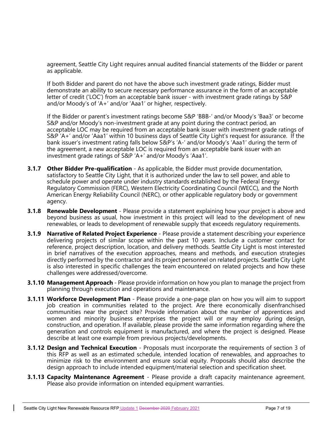agreement, Seattle City Light requires annual audited financial statements of the Bidder or parent as applicable.

If both Bidder and parent do not have the above such investment grade ratings, Bidder must demonstrate an ability to secure necessary performance assurance in the form of an acceptable letter of credit ('LOC') from an acceptable bank issuer - with investment grade ratings by S&P and/or Moody's of 'A+' and/or 'Aaa1' or higher, respectively.

If the Bidder or parent's investment ratings become S&P 'BBB-' and/or Moody's 'Baa3' or become S&P and/or Moody's non-investment grade at any point during the contract period, an acceptable LOC may be required from an acceptable bank issuer with investment grade ratings of S&P 'A+' and/or 'Aaa1' within 10 business days of Seattle City Light's request for assurance. If the bank issuer's investment rating falls below S&P's 'A-' and/or Moody's 'Aaa1' during the term of the agreement, a new acceptable LOC is required from an acceptable bank issuer with an investment grade ratings of S&P 'A+' and/or Moody's 'Aaa1'.

- **3.1.7 Other Bidder Pre-qualification** As applicable, the Bidder must provide documentation, satisfactory to Seattle City Light, that it is authorized under the law to sell power, and able to schedule power and operate under industry standards established by the Federal Energy Regulatory Commission (FERC), Western Electricity Coordinating Council (WECC), and the North American Energy Reliability Council (NERC), or other applicable regulatory body or government agency.
- **3.1.8 Renewable Development** Please provide a statement explaining how your project is above and beyond business as usual, how investment in this project will lead to the development of new renewables, or leads to development of renewable supply that exceeds regulatory requirements.
- **3.1.9 Narrative of Related Project Experience** Please provide a statement describing your experience delivering projects of similar scope within the past 10 years. Include a customer contact for reference, project description, location, and delivery methods. Seattle City Light is most interested in brief narratives of the execution approaches, means and methods, and execution strategies directly performed by the contractor and its project personnel on related projects. Seattle City Light is also interested in specific challenges the team encountered on related projects and how these challenges were addressed/overcome.
- **3.1.10 Management Approach** Please provide information on how you plan to manage the project from planning through execution and operations and maintenance.
- **3.1.11 Workforce Development Plan** Please provide a one-page plan on how you will aim to support job creation in communities related to the project. Are there economically disenfranchised communities near the project site? Provide information about the number of apprentices and women and minority business enterprises the project will or may employ during design, construction, and operation. If available, please provide the same information regarding where the generation and controls equipment is manufactured, and where the project is designed. Please describe at least one example from previous projects/developments.
- **3.1.12 Design and Technical Execution** Proposals must incorporate the requirements of section 3 of this RFP as well as an estimated schedule, intended location of renewables, and approaches to minimize risk to the environment and ensure social equity. Proposals should also describe the design approach to include intended equipment/material selection and specification sheet.
- **3.1.13 Capacity Maintenance Agreement** Please provide a draft capacity maintenance agreement. Please also provide information on intended equipment warranties.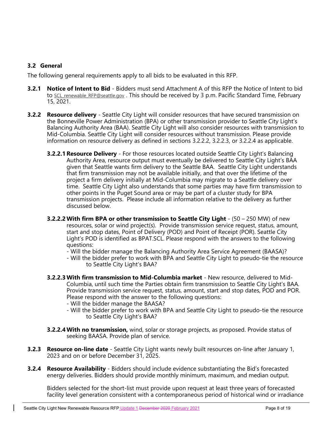## 3.2 General

The following general requirements apply to all bids to be evaluated in this RFP.

- **3.2.1 Notice of Intent to Bid -** Bidders must send Attachment A of this RFP the Notice of Intent to bid to SCL renewable RFP@seattle.gov. This should be received by 3 p.m. Pacific Standard Time, February 15, 2021.
- **3.2.2 Resource delivery** Seattle City Light will consider resources that have secured transmission on the Bonneville Power Administration (BPA) or other transmission provider to Seattle City Light's Balancing Authority Area (BAA). Seattle City Light will also consider resources with transmission to Mid-Columbia. Seattle City Light will consider resources without transmission. Please provide information on resource delivery as defined in sections 3.2.2.2, 3.2.2.3, or 3.2.2.4 as applicable.
	- **3.2.2.1 Resource Delivery** For those resources located outside Seattle City Light's Balancing Authority Area, resource output must eventually be delivered to Seattle City Light's BAA given that Seattle wants firm delivery to the Seattle BAA. Seattle City Light understands that firm transmission may not be available initially, and that over the lifetime of the project a firm delivery initially at Mid-Columbia may migrate to a Seattle delivery over time. Seattle City Light also understands that some parties may have firm transmission to other points in the Puget Sound area or may be part of a cluster study for BPA transmission projects. Please include all information relative to the delivery as further discussed below.
	- **3.2.2.2 With firm BPA or other transmission to Seattle City Light**  $(50 250$  MW) of new resources, solar or wind project(s). Provide transmission service request, status, amount, start and stop dates, Point of Delivery (POD) and Point of Receipt (POR). Seattle City Light's POD is identified as BPAT.SCL. Please respond with the answers to the following questions:
		- Will the bidder manage the Balancing Authority Area Service Agreement (BAASA)?
		- Will the bidder prefer to work with BPA and Seattle City Light to pseudo-tie the resource to Seattle City Light's BAA?
	- 3.2.2.3 With firm transmission to Mid-Columbia market New resource, delivered to Mid-Columbia, until such time the Parties obtain firm transmission to Seattle City Light's BAA. Provide transmission service request, status, amount, start and stop dates, POD and POR. Please respond with the answer to the following questions:
		- Will the bidder manage the BAASA?
		- Will the bidder prefer to work with BPA and Seattle City Light to pseudo-tie the resource to Seattle City Light's BAA?
	- **3.2.2.4 With no transmission,** wind, solar or storage projects, as proposed. Provide status of seeking BAASA. Provide plan of service.
- **3.2.3 Resource on-line date** Seattle City Light wants newly built resources on-line after January 1, 2023 and on or before December 31, 2025.
- **3.2.4 Resource Availability** Bidders should include evidence substantiating the Bid's forecasted energy deliveries. Bidders should provide monthly minimum, maximum, and median output.

Bidders selected for the short-list must provide upon request at least three years of forecasted facility level generation consistent with a contemporaneous period of historical wind or irradiance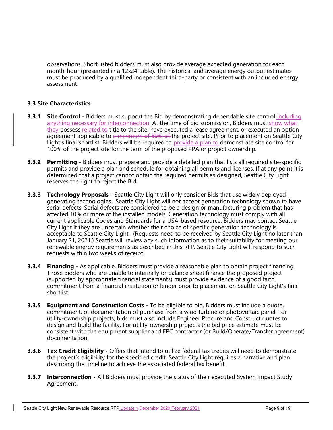observations. Short listed bidders must also provide average expected generation for each month-hour (presented in a 12x24 table). The historical and average energy output estimates must be produced by a qualified independent third-party or consistent with an included energy assessment.

## 3.3 Site Characteristics

- **3.3.1 Site Control** Bidders must support the Bid by demonstrating dependable site control including anything necessary for interconnection. At the time of bid submission, Bidders must show what they possess related to title to the site, have executed a lease agreement, or executed an option agreement applicable to a minimum of 80% of the project site. Prior to placement on Seattle City Light's final shortlist, Bidders will be required to provide a plan to demonstrate site control for 100% of the project site for the term of the proposed PPA or project ownership.
- **3.3.2 Permitting** Bidders must prepare and provide a detailed plan that lists all required site-specific permits and provide a plan and schedule for obtaining all permits and licenses. If at any point it is determined that a project cannot obtain the required permits as designed, Seattle City Light reserves the right to reject the Bid.
- **3.3.3 Technology Proposals** Seattle City Light will only consider Bids that use widely deployed generating technologies. Seattle City Light will not accept generation technology shown to have serial defects. Serial defects are considered to be a design or manufacturing problem that has affected 10% or more of the installed models. Generation technology must comply with all current applicable Codes and Standards for a USA-based resource. Bidders may contact Seattle City Light if they are uncertain whether their choice of specific generation technology is acceptable to Seattle City Light. (Requests need to be received by Seattle City Light no later than January 21, 2021.) Seattle will review any such information as to their suitability for meeting our renewable energy requirements as described in this RFP. Seattle City Light will respond to such requests within two weeks of receipt.
- **3.3.4 Financing** As applicable, Bidders must provide a reasonable plan to obtain project financing. Those Bidders who are unable to internally or balance sheet finance the proposed project (supported by appropriate financial statements) must provide evidence of a good faith commitment from a financial institution or lender prior to placement on Seattle City Light's final shortlist.
- **3.3.5 Equipment and Construction Costs** To be eligible to bid, Bidders must include a quote, commitment, or documentation of purchase from a wind turbine or photovoltaic panel. For utility-ownership projects, bids must also include Engineer Procure and Construct quotes to design and build the facility. For utility-ownership projects the bid price estimate must be consistent with the equipment supplier and EPC contractor (or Build/Operate/Transfer agreement) documentation.
- **3.3.6 Tax Credit Eligibility** Offers that intend to utilize federal tax credits will need to demonstrate the project's eligibility for the specified credit. Seattle City Light requires a narrative and plan describing the timeline to achieve the associated federal tax benefit.
- **3.3.7 Interconnection** All Bidders must provide the status of their executed System Impact Study Agreement.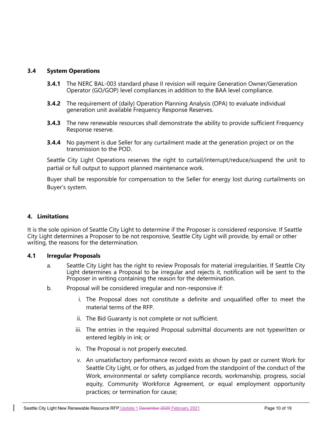## 3.4 System Operations

- **3.4.1** The NERC BAL-003 standard phase II revision will require Generation Owner/Generation Operator (GO/GOP) level compliances in addition to the BAA level compliance.
- **3.4.2** The requirement of (daily) Operation Planning Analysis (OPA) to evaluate individual generation unit available Frequency Response Reserves.
- **3.4.3** The new renewable resources shall demonstrate the ability to provide sufficient Frequency Response reserve.
- **3.4.4** No payment is due Seller for any curtailment made at the generation project or on the transmission to the POD.

Seattle City Light Operations reserves the right to curtail/interrupt/reduce/suspend the unit to partial or full output to support planned maintenance work.

Buyer shall be responsible for compensation to the Seller for energy lost during curtailments on Buyer's system.

## 4. Limitations

It is the sole opinion of Seattle City Light to determine if the Proposer is considered responsive. If Seattle City Light determines a Proposer to be not responsive, Seattle City Light will provide, by email or other writing, the reasons for the determination.

## 4.1 Irregular Proposals

- a. Seattle City Light has the right to review Proposals for material irregularities. If Seattle City Light determines a Proposal to be irregular and rejects it, notification will be sent to the Proposer in writing containing the reason for the determination.
- b. Proposal will be considered irregular and non-responsive if:
	- i. The Proposal does not constitute a definite and unqualified offer to meet the material terms of the RFP.
	- ii. The Bid Guaranty is not complete or not sufficient.
	- iii. The entries in the required Proposal submittal documents are not typewritten or entered legibly in ink; or
	- iv. The Proposal is not properly executed.
	- v. An unsatisfactory performance record exists as shown by past or current Work for Seattle City Light, or for others, as judged from the standpoint of the conduct of the Work, environmental or safety compliance records, workmanship, progress, social equity, Community Workforce Agreement, or equal employment opportunity practices; or termination for cause;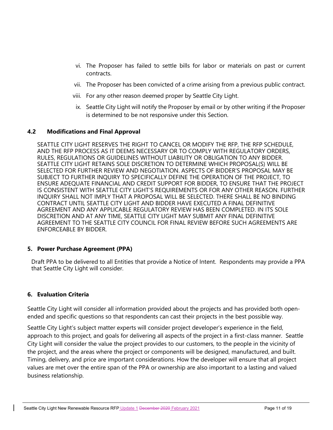- vi. The Proposer has failed to settle bills for labor or materials on past or current contracts.
- vii. The Proposer has been convicted of a crime arising from a previous public contract.
- viii. For any other reason deemed proper by Seattle City Light.
- ix. Seattle City Light will notify the Proposer by email or by other writing if the Proposer is determined to be not responsive under this Section.

#### 4.2 Modifications and Final Approval

SEATTLE CITY LIGHT RESERVES THE RIGHT TO CANCEL OR MODIFY THE RFP, THE RFP SCHEDULE, AND THE RFP PROCESS AS IT DEEMS NECESSARY OR TO COMPLY WITH REGULATORY ORDERS, RULES, REGULATIONS OR GUIDELINES WITHOUT LIABILITY OR OBLIGATION TO ANY BIDDER. SEATTLE CITY LIGHT RETAINS SOLE DISCRETION TO DETERMINE WHICH PROPOSAL(S) WILL BE SELECTED FOR FURTHER REVIEW AND NEGOTIATION. ASPECTS OF BIDDER'S PROPOSAL MAY BE SUBJECT TO FURTHER INQUIRY TO SPECIFICALLY DEFINE THE OPERATION OF THE PROJECT, TO ENSURE ADEQUATE FINANCIAL AND CREDIT SUPPORT FOR BIDDER, TO ENSURE THAT THE PROJECT IS CONSISTENT WITH SEATTLE CITY LIGHT'S REQUIREMENTS OR FOR ANY OTHER REASON. FURTHER INQUIRY SHALL NOT IMPLY THAT A PROPOSAL WILL BE SELECTED. THERE SHALL BE NO BINDING CONTRACT UNTIL SEATTLE CITY LIGHT AND BIDDER HAVE EXECUTED A FINAL DEFINITIVE AGREEMENT AND ANY APPLICABLE REGULATORY REVIEW HAS BEEN COMPLETED. IN ITS SOLE DISCRETION AND AT ANY TIME, SEATTLE CITY LIGHT MAY SUBMIT ANY FINAL DEFINITIVE AGREEMENT TO THE SEATTLE CITY COUNCIL FOR FINAL REVIEW BEFORE SUCH AGREEMENTS ARE ENFORCEABLE BY BIDDER.

#### 5. Power Purchase Agreement (PPA)

 Draft PPA to be delivered to all Entities that provide a Notice of Intent. Respondents may provide a PPA that Seattle City Light will consider.

## 6. Evaluation Criteria

Seattle City Light will consider all information provided about the projects and has provided both openended and specific questions so that respondents can cast their projects in the best possible way.

Seattle City Light's subject matter experts will consider project developer's experience in the field, approach to this project, and goals for delivering all aspects of the project in a first-class manner. Seattle City Light will consider the value the project provides to our customers, to the people in the vicinity of the project, and the areas where the project or components will be designed, manufactured, and built. Timing, delivery, and price are important considerations. How the developer will ensure that all project values are met over the entire span of the PPA or ownership are also important to a lasting and valued business relationship.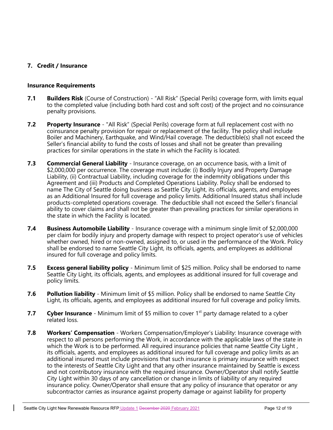## 7. Credit / Insurance

#### Insurance Requirements

- **7.1 Builders Risk** (Course of Construction) "All Risk" (Special Perils) coverage form, with limits equal to the completed value (including both hard cost and soft cost) of the project and no coinsurance penalty provisions.
- **7.2** Property Insurance "All Risk" (Special Perils) coverage form at full replacement cost with no coinsurance penalty provision for repair or replacement of the facility. The policy shall include Boiler and Machinery, Earthquake, and Wind/Hail coverage. The deductible(s) shall not exceed the Seller's financial ability to fund the costs of losses and shall not be greater than prevailing practices for similar operations in the state in which the Facility is located.
- **7.3** Commercial General Liability Insurance coverage, on an occurrence basis, with a limit of \$2,000,000 per occurrence. The coverage must include: (i) Bodily Injury and Property Damage Liability, (ii) Contractual Liability, including coverage for the indemnity obligations under this Agreement and (iii) Products and Completed Operations Liability. Policy shall be endorsed to name The City of Seattle doing business as Seattle City Light, its officials, agents, and employees as an Additional Insured for full coverage and policy limits. Additional Insured status shall include products-completed operations coverage. The deductible shall not exceed the Seller's financial ability to cover claims and shall not be greater than prevailing practices for similar operations in the state in which the Facility is located.
- **7.4 Business Automobile Liability** Insurance coverage with a minimum single limit of \$2,000,000 per claim for bodily injury and property damage with respect to project operator's use of vehicles whether owned, hired or non-owned, assigned to, or used in the performance of the Work. Policy shall be endorsed to name Seattle City Light, its officials, agents, and employees as additional insured for full coverage and policy limits.
- **7.5 Excess general liability policy** Minimum limit of \$25 million. Policy shall be endorsed to name Seattle City Light, its officials, agents, and employees as additional insured for full coverage and policy limits.
- **7.6** Pollution liability Minimum limit of \$5 million. Policy shall be endorsed to name Seattle City Light, its officials, agents, and employees as additional insured for full coverage and policy limits.
- 7.7 Cyber Insurance Minimum limit of \$5 million to cover  $1<sup>st</sup>$  party damage related to a cyber related loss.
- **7.8 Workers' Compensation** Workers Compensation/Employer's Liability: Insurance coverage with respect to all persons performing the Work, in accordance with the applicable laws of the state in which the Work is to be performed. All required insurance policies that name Seattle City Light, its officials, agents, and employees as additional insured for full coverage and policy limits as an additional insured must include provisions that such insurance is primary insurance with respect to the interests of Seattle City Light and that any other insurance maintained by Seattle is excess and not contributory insurance with the required insurance. Owner/Operator shall notify Seattle City Light within 30 days of any cancellation or change in limits of liability of any required insurance policy. Owner/Operator shall ensure that any policy of insurance that operator or any subcontractor carries as insurance against property damage or against liability for property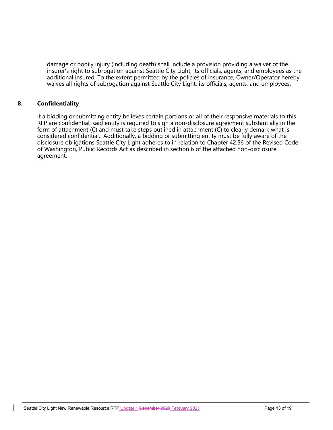damage or bodily injury (including death) shall include a provision providing a waiver of the insurer's right to subrogation against Seattle City Light, its officials, agents, and employees as the additional insured. To the extent permitted by the policies of insurance, Owner/Operator hereby waives all rights of subrogation against Seattle City Light, its officials, agents, and employees.

## 8. Confidentiality

If a bidding or submitting entity believes certain portions or all of their responsive materials to this RFP are confidential, said entity is required to sign a non-disclosure agreement substantially in the form of attachment (C) and must take steps outlined in attachment (C) to clearly demark what is considered confidential. Additionally, a bidding or submitting entity must be fully aware of the disclosure obligations Seattle City Light adheres to in relation to Chapter 42.56 of the Revised Code of Washington, Public Records Act as described in section 6 of the attached non-disclosure agreement.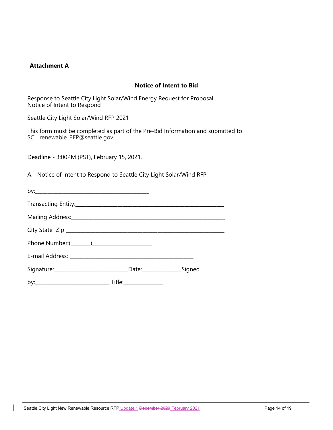#### Attachment A

## Notice of Intent to Bid

Response to Seattle City Light Solar/Wind Energy Request for Proposal Notice of Intent to Respond

Seattle City Light Solar/Wind RFP 2021

This form must be completed as part of the Pre-Bid Information and submitted to SCL\_renewable\_RFP@seattle.gov.

Deadline - 3:00PM (PST), February 15, 2021.

A. Notice of Intent to Respond to Seattle City Light Solar/Wind RFP

| Mailing Address: Manual Marian Communication of the Mailing Address: |  |
|----------------------------------------------------------------------|--|
|                                                                      |  |
|                                                                      |  |
|                                                                      |  |
|                                                                      |  |
|                                                                      |  |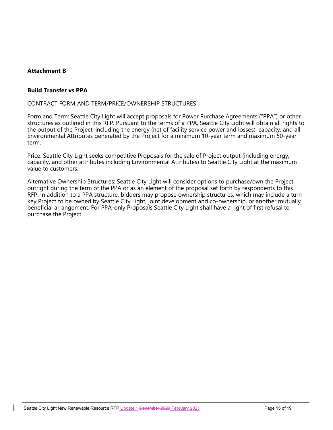## Attachment B

#### Build Transfer vs PPA

#### CONTRACT FORM AND TERM/PRICE/OWNERSHIP STRUCTURES

Form and Term: Seattle City Light will accept proposals for Power Purchase Agreements ("PPA") or other structures as outlined in this RFP. Pursuant to the terms of a PPA, Seattle City Light will obtain all rights to the output of the Project, including the energy (net of facility service power and losses), capacity, and all Environmental Attributes generated by the Project for a minimum 10-year term and maximum 50-year term.

Price: Seattle City Light seeks competitive Proposals for the sale of Project output (including energy, capacity, and other attributes including Environmental Attributes) to Seattle City Light at the maximum value to customers.

Alternative Ownership Structures: Seattle City Light will consider options to purchase/own the Project outright during the term of the PPA or as an element of the proposal set forth by respondents to this RFP. In addition to a PPA structure, bidders may propose ownership structures, which may include a turnkey Project to be owned by Seattle City Light, joint development and co-ownership, or another mutually beneficial arrangement. For PPA-only Proposals Seattle City Light shall have a right of first refusal to purchase the Project.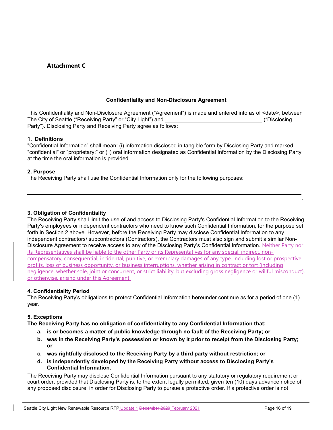## Attachment C

#### Confidentiality and Non-Disclosure Agreement

This Confidentiality and Non-Disclosure Agreement ("Agreement") is made and entered into as of <date>, between The City of Seattle ("Receiving Party" or "City Light") and **Committee Controllery ("Disclosing** ("Disclosing Party"). Disclosing Party and Receiving Party agree as follows:

#### 1. Definitions

"Confidential Information" shall mean: (i) information disclosed in tangible form by Disclosing Party and marked "confidential" or "proprietary;" or (ii) oral information designated as Confidential Information by the Disclosing Party at the time the oral information is provided.

#### 2. Purpose

L

The Receiving Party shall use the Confidential Information only for the following purposes:

#### 3. Obligation of Confidentiality

The Receiving Party shall limit the use of and access to Disclosing Party's Confidential Information to the Receiving Party's employees or independent contractors who need to know such Confidential Information, for the purpose set forth in Section 2 above. However, before the Receiving Party may disclose Confidential Information to any independent contractors/ subcontractors (Contractors), the Contractors must also sign and submit a similar Non-Disclosure Agreement to receive access to any of the Disclosing Party's Confidential Information. Neither Party nor its Representatives shall be liable to the other Party or its Representatives for any special, indirect, noncompensatory, consequential, incidental, punitive, or exemplary damages of any type, including lost or prospective profits, loss of business opportunity, or business interruptions, whether arising in contract or tort (including negligence, whether sole, joint or concurrent, or strict liability, but excluding gross negligence or willful misconduct), or otherwise, arising under this Agreement.

<u>. Andre and the second control of the second control of the second control of the second control of the second</u>

#### 4. Confidentiality Period

The Receiving Party's obligations to protect Confidential Information hereunder continue as for a period of one (1) year.

#### 5. Exceptions

The Receiving Party has no obligation of confidentiality to any Confidential Information that:

- a. is or becomes a matter of public knowledge through no fault of the Receiving Party; or
- b. was in the Receiving Party's possession or known by it prior to receipt from the Disclosing Party; or
- c. was rightfully disclosed to the Receiving Party by a third party without restriction; or
- d. is independently developed by the Receiving Party without access to Disclosing Party's Confidential Information.

The Receiving Party may disclose Confidential Information pursuant to any statutory or regulatory requirement or court order, provided that Disclosing Party is, to the extent legally permitted, given ten (10) days advance notice of any proposed disclosure, in order for Disclosing Party to pursue a protective order. If a protective order is not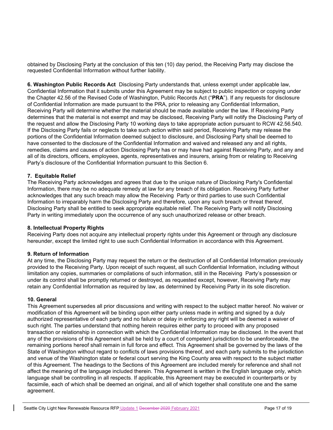obtained by Disclosing Party at the conclusion of this ten (10) day period, the Receiving Party may disclose the requested Confidential Information without further liability.

6. Washington Public Records Act Disclosing Party understands that, unless exempt under applicable law, Confidential Information that it submits under this Agreement may be subject to public inspection or copying under the Chapter 42.56 of the Revised Code of Washington, Public Records Act ("PRA"). If any requests for disclosure of Confidential Information are made pursuant to the PRA, prior to releasing any Confidential Information, Receiving Party will determine whether the material should be made available under the law. If Receiving Party determines that the material is not exempt and may be disclosed, Receiving Party will notify the Disclosing Party of the request and allow the Disclosing Party 10 working days to take appropriate action pursuant to RCW 42.56.540. If the Disclosing Party fails or neglects to take such action within said period, Receiving Party may release the portions of the Confidential Information deemed subject to disclosure, and Disclosing Party shall be deemed to have consented to the disclosure of the Confidential Information and waived and released any and all rights, remedies, claims and causes of action Disclosing Party has or may have had against Receiving Party, and any and all of its directors, officers, employees, agents, representatives and insurers, arising from or relating to Receiving Party's disclosure of the Confidential Information pursuant to this Section 6.

#### 7. Equitable Relief

The Receiving Party acknowledges and agrees that due to the unique nature of Disclosing Party's Confidential Information, there may be no adequate remedy at law for any breach of its obligation. Receiving Party further acknowledges that any such breach may allow the Receiving Party or third parties to use such Confidential Information to irreparably harm the Disclosing Party and therefore, upon any such breach or threat thereof, Disclosing Party shall be entitled to seek appropriate equitable relief. The Receiving Party will notify Disclosing Party in writing immediately upon the occurrence of any such unauthorized release or other breach.

#### 8. Intellectual Property Rights

Receiving Party does not acquire any intellectual property rights under this Agreement or through any disclosure hereunder, except the limited right to use such Confidential Information in accordance with this Agreement.

#### 9. Return of Information

At any time, the Disclosing Party may request the return or the destruction of all Confidential Information previously provided to the Receiving Party. Upon receipt of such request, all such Confidential Information, including without limitation any copies, summaries or compilations of such information, still in the Receiving Party's possession or under its control shall be promptly returned or destroyed, as requested except, however, Receiving Party may retain any Confidential Information as required by law, as determined by Receiving Party in its sole discretion.

#### 10. General

This Agreement supersedes all prior discussions and writing with respect to the subject matter hereof. No waiver or modification of this Agreement will be binding upon either party unless made in writing and signed by a duly authorized representative of each party and no failure or delay in enforcing any right will be deemed a waiver of such right. The parties understand that nothing herein requires either party to proceed with any proposed transaction or relationship in connection with which the Confidential Information may be disclosed. In the event that any of the provisions of this Agreement shall be held by a court of competent jurisdiction to be unenforceable, the remaining portions hereof shall remain in full force and effect. This Agreement shall be governed by the laws of the State of Washington without regard to conflicts of laws provisions thereof, and each party submits to the jurisdiction and venue of the Washington state or federal court serving the King County area with respect to the subject matter of this Agreement. The headings to the Sections of this Agreement are included merely for reference and shall not affect the meaning of the language included therein. This Agreement is written in the English language only, which language shall be controlling in all respects. If applicable, this Agreement may be executed in counterparts or by facsimile, each of which shall be deemed an original, and all of which together shall constitute one and the same agreement.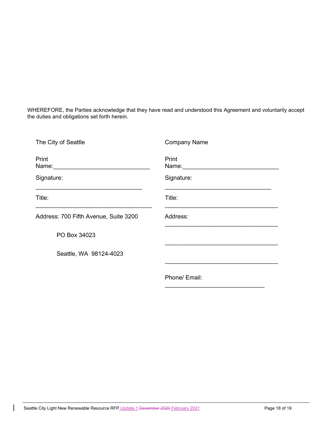WHEREFORE, the Parties acknowledge that they have read and understood this Agreement and voluntarily accept the duties and obligations set forth herein.

| The City of Seattle                       | <b>Company Name</b>                      |
|-------------------------------------------|------------------------------------------|
| Print<br>Name: <u>___________________</u> | Print<br>Name: <u>__________________</u> |
| Signature:                                | Signature:                               |
| Title:                                    | Title:                                   |
| Address: 700 Fifth Avenue, Suite 3200     | Address:                                 |
| PO Box 34023                              |                                          |
| Seattle, WA 98124-4023                    |                                          |
|                                           | Phone/ Email:                            |